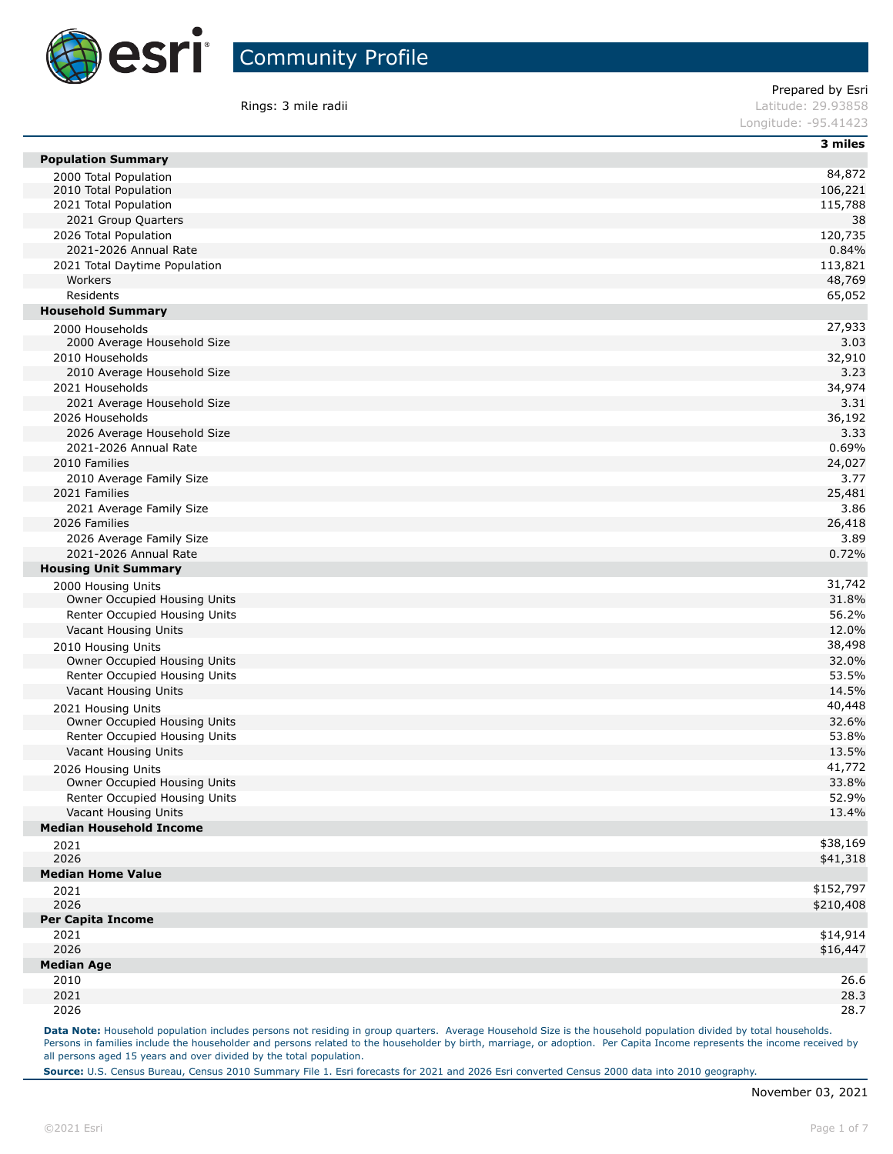

**Rings: 3 mile radii Contract Contract Contract Contract Contract Contract Contract Contract Contract Contract Contract Contract Contract Contract Contract Contract Contract Contract Contract Contract Contract Contract C** 

Prepared by Esri

Longitude: -95.41423

|                                                | 3 miles       |
|------------------------------------------------|---------------|
| <b>Population Summary</b>                      |               |
| 2000 Total Population                          | 84,872        |
| 2010 Total Population                          | 106,221       |
| 2021 Total Population                          | 115,788       |
| 2021 Group Quarters                            | 38<br>120,735 |
| 2026 Total Population<br>2021-2026 Annual Rate | 0.84%         |
| 2021 Total Daytime Population                  | 113,821       |
| Workers                                        | 48,769        |
| Residents                                      | 65,052        |
| <b>Household Summary</b>                       |               |
|                                                | 27,933        |
| 2000 Households<br>2000 Average Household Size | 3.03          |
| 2010 Households                                | 32,910        |
| 2010 Average Household Size                    | 3.23          |
| 2021 Households                                | 34,974        |
| 2021 Average Household Size                    | 3.31          |
| 2026 Households                                | 36,192        |
| 2026 Average Household Size                    | 3.33          |
| 2021-2026 Annual Rate                          | 0.69%         |
| 2010 Families                                  | 24,027        |
| 2010 Average Family Size                       | 3.77          |
| 2021 Families                                  | 25,481        |
| 2021 Average Family Size                       | 3.86          |
| 2026 Families                                  | 26,418        |
| 2026 Average Family Size                       | 3.89          |
| 2021-2026 Annual Rate                          | 0.72%         |
| <b>Housing Unit Summary</b>                    |               |
| 2000 Housing Units                             | 31,742        |
| Owner Occupied Housing Units                   | 31.8%         |
| Renter Occupied Housing Units                  | 56.2%         |
| Vacant Housing Units                           | 12.0%         |
| 2010 Housing Units                             | 38,498        |
| Owner Occupied Housing Units                   | 32.0%         |
| Renter Occupied Housing Units                  | 53.5%         |
| Vacant Housing Units                           | 14.5%         |
| 2021 Housing Units                             | 40,448        |
| Owner Occupied Housing Units                   | 32.6%         |
| Renter Occupied Housing Units                  | 53.8%         |
| Vacant Housing Units                           | 13.5%         |
| 2026 Housing Units                             | 41,772        |
| Owner Occupied Housing Units                   | 33.8%         |
| Renter Occupied Housing Units                  | 52.9%         |
| Vacant Housing Units                           | 13.4%         |
| <b>Median Household Income</b>                 |               |
| 2021                                           | \$38,169      |
| 2026                                           | \$41,318      |
| <b>Median Home Value</b>                       |               |
| 2021                                           | \$152,797     |
| 2026                                           | \$210,408     |
| <b>Per Capita Income</b><br>2021               | \$14,914      |
| 2026                                           | \$16,447      |
| <b>Median Age</b>                              |               |
| 2010                                           | 26.6          |
| 2021                                           | 28.3          |
| 2026                                           | 28.7          |
|                                                |               |

Data Note: Household population includes persons not residing in group quarters. Average Household Size is the household population divided by total households. Persons in families include the householder and persons related to the householder by birth, marriage, or adoption. Per Capita Income represents the income received by all persons aged 15 years and over divided by the total population.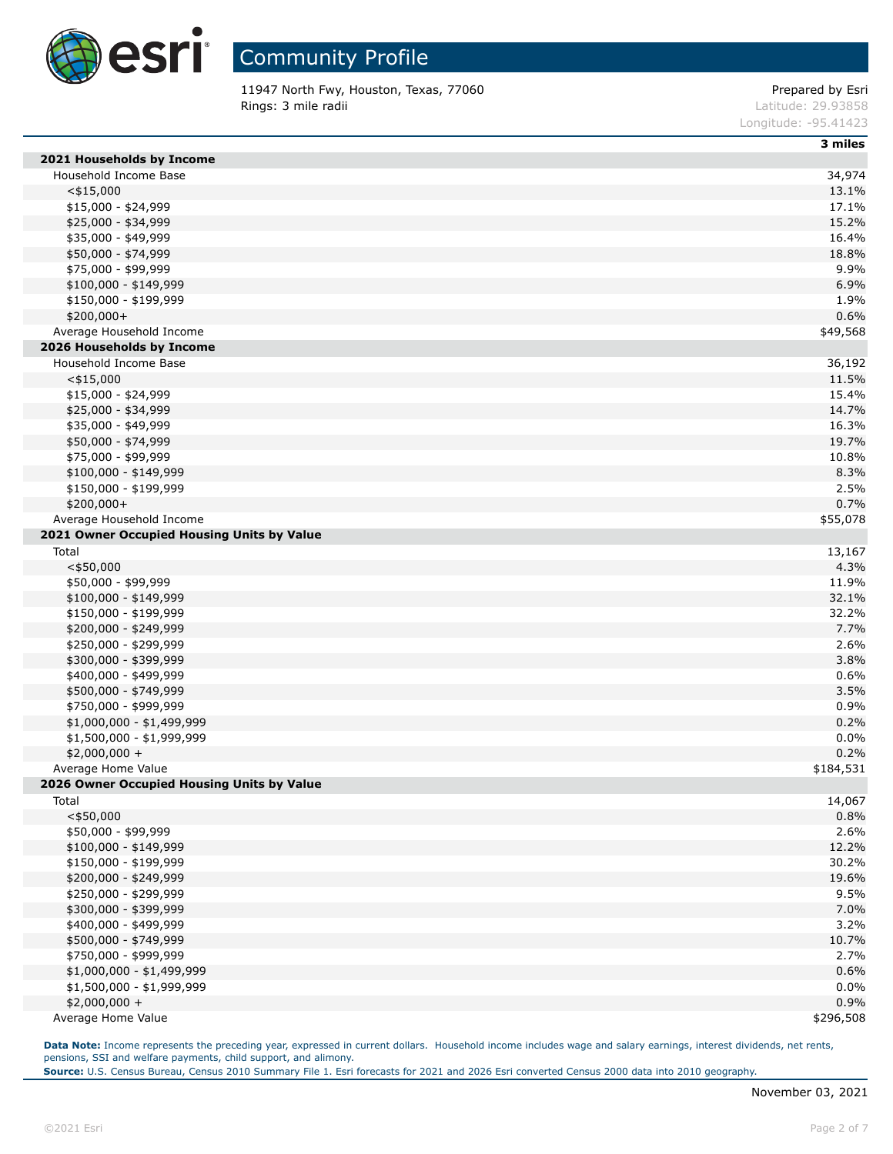

11947 North Fwy, Houston, Texas, 77060 example and the example of the Prepared by Esri **Rings: 3 mile radii Contract Contract Contract Contract Contract Contract Contract Contract Contract Contract Contract Contract Contract Contract Contract Contract Contract Contract Contract Contract Contract Contract C** 

Longitude: -95.41423

|  | шы |
|--|----|

| 2021 Households by Income                  |              |
|--------------------------------------------|--------------|
| Household Income Base                      | 34,974       |
| $<$ \$15,000                               | 13.1%        |
| $$15,000 - $24,999$                        | 17.1%        |
| \$25,000 - \$34,999                        | 15.2%        |
| \$35,000 - \$49,999                        | 16.4%        |
| \$50,000 - \$74,999                        | 18.8%        |
| \$75,000 - \$99,999                        | 9.9%         |
| $$100,000 - $149,999$                      | 6.9%         |
| \$150,000 - \$199,999                      | 1.9%         |
| \$200,000+                                 | 0.6%         |
| Average Household Income                   | \$49,568     |
| 2026 Households by Income                  |              |
| Household Income Base                      | 36,192       |
| $<$ \$15,000                               | 11.5%        |
| \$15,000 - \$24,999                        | 15.4%        |
| \$25,000 - \$34,999                        | 14.7%        |
| \$35,000 - \$49,999                        | 16.3%        |
| \$50,000 - \$74,999                        | 19.7%        |
| \$75,000 - \$99,999                        | 10.8%        |
| $$100,000 - $149,999$                      | 8.3%         |
| \$150,000 - \$199,999                      | 2.5%         |
| \$200,000+                                 | 0.7%         |
| Average Household Income                   | \$55,078     |
| 2021 Owner Occupied Housing Units by Value |              |
| Total                                      | 13,167       |
| $<$ \$50,000                               | 4.3%         |
| \$50,000 - \$99,999                        | 11.9%        |
| $$100,000 - $149,999$                      | 32.1%        |
| \$150,000 - \$199,999                      | 32.2%        |
| \$200,000 - \$249,999                      | 7.7%         |
|                                            | 2.6%         |
| \$250,000 - \$299,999                      |              |
| \$300,000 - \$399,999                      | 3.8%         |
| \$400,000 - \$499,999                      | 0.6%<br>3.5% |
| \$500,000 - \$749,999                      |              |
| \$750,000 - \$999,999                      | 0.9%         |
| \$1,000,000 - \$1,499,999                  | 0.2%         |
| \$1,500,000 - \$1,999,999                  | 0.0%<br>0.2% |
| \$2,000,000 +                              |              |
| Average Home Value                         | \$184,531    |
| 2026 Owner Occupied Housing Units by Value |              |
| Total                                      | 14,067       |
| $<$ \$50,000                               | 0.8%         |
| \$50,000 - \$99,999                        | 2.6%         |
| $$100,000 - $149,999$                      | 12.2%        |
| \$150,000 - \$199,999                      | 30.2%        |
| \$200,000 - \$249,999                      | 19.6%        |
| \$250,000 - \$299,999                      | 9.5%         |
| \$300,000 - \$399,999                      | 7.0%         |
| \$400,000 - \$499,999                      | 3.2%         |
| \$500,000 - \$749,999                      | 10.7%        |
| \$750,000 - \$999,999                      | 2.7%         |
| \$1,000,000 - \$1,499,999                  | 0.6%         |
| \$1,500,000 - \$1,999,999                  | 0.0%         |
| $$2,000,000 +$                             | 0.9%         |
| Average Home Value                         | \$296,508    |

Data Note: Income represents the preceding year, expressed in current dollars. Household income includes wage and salary earnings, interest dividends, net rents, pensions, SSI and welfare payments, child support, and alimony.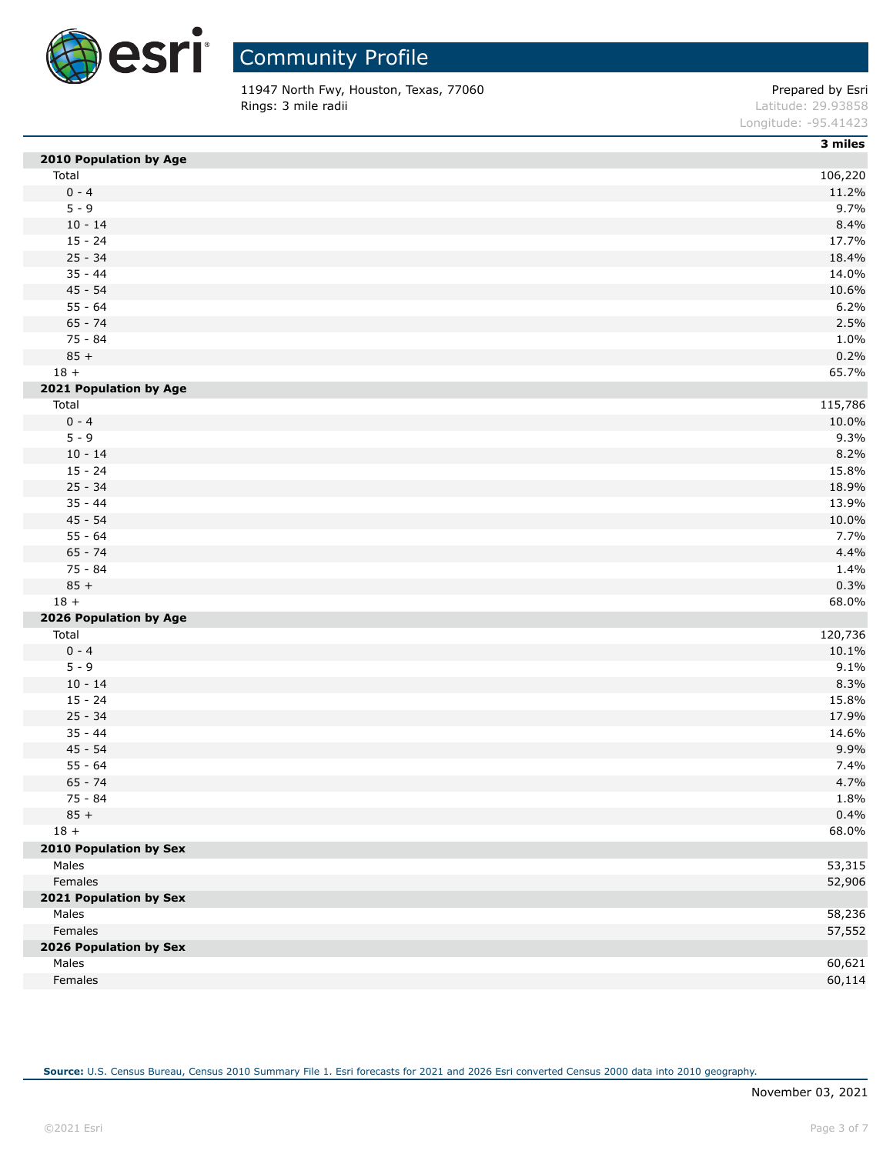

11947 North Fwy, Houston, Texas, 77060 **Prepared by Esri** Prepared by Esri **Rings: 3 mile radii Contract Contract Contract Contract Contract Contract Contract Contract Contract Contract Contract Contract Contract Contract Contract Contract Contract Contract Contract Contract Contract Contract C** 

Longitude: -95.41423

|                        | 3 miles |
|------------------------|---------|
| 2010 Population by Age |         |
| Total                  | 106,220 |
| $0 - 4$                | 11.2%   |
| $5 - 9$                | 9.7%    |
| $10 - 14$              | 8.4%    |
| $15 - 24$              | 17.7%   |
| $25 - 34$              | 18.4%   |
| $35 - 44$              | 14.0%   |
| $45 - 54$              | 10.6%   |
| $55 - 64$              | 6.2%    |
| $65 - 74$              | 2.5%    |
| 75 - 84                | 1.0%    |
| $85 +$                 | 0.2%    |
| $18 +$                 | 65.7%   |
| 2021 Population by Age |         |
| Total                  | 115,786 |
| $0 - 4$                | 10.0%   |
| $5 - 9$                | 9.3%    |
| $10 - 14$              | 8.2%    |
| $15 - 24$              | 15.8%   |
| $25 - 34$              | 18.9%   |
| $35 - 44$              | 13.9%   |
| $45 - 54$              | 10.0%   |
| $55 - 64$              | 7.7%    |
| $65 - 74$              | 4.4%    |
| 75 - 84                | 1.4%    |
| $85 +$                 | 0.3%    |
| $18 +$                 | 68.0%   |
| 2026 Population by Age |         |
| Total                  | 120,736 |
| $0 - 4$                | 10.1%   |
| $5 - 9$                | 9.1%    |
| $10 - 14$              | 8.3%    |
| $15 - 24$              | 15.8%   |
| $25 - 34$              | 17.9%   |
| $35 - 44$              | 14.6%   |
| $45 - 54$              | 9.9%    |
| $55 - 64$              | 7.4%    |
| $65 - 74$              | 4.7%    |
| $75 - 84$              | 1.8%    |
| $85 +$                 | 0.4%    |
| $18 +$                 | 68.0%   |
| 2010 Population by Sex |         |
| Males                  | 53,315  |
| Females                | 52,906  |
| 2021 Population by Sex |         |
| Males                  | 58,236  |
| Females                | 57,552  |
| 2026 Population by Sex |         |
| Males                  | 60,621  |
| Females                | 60,114  |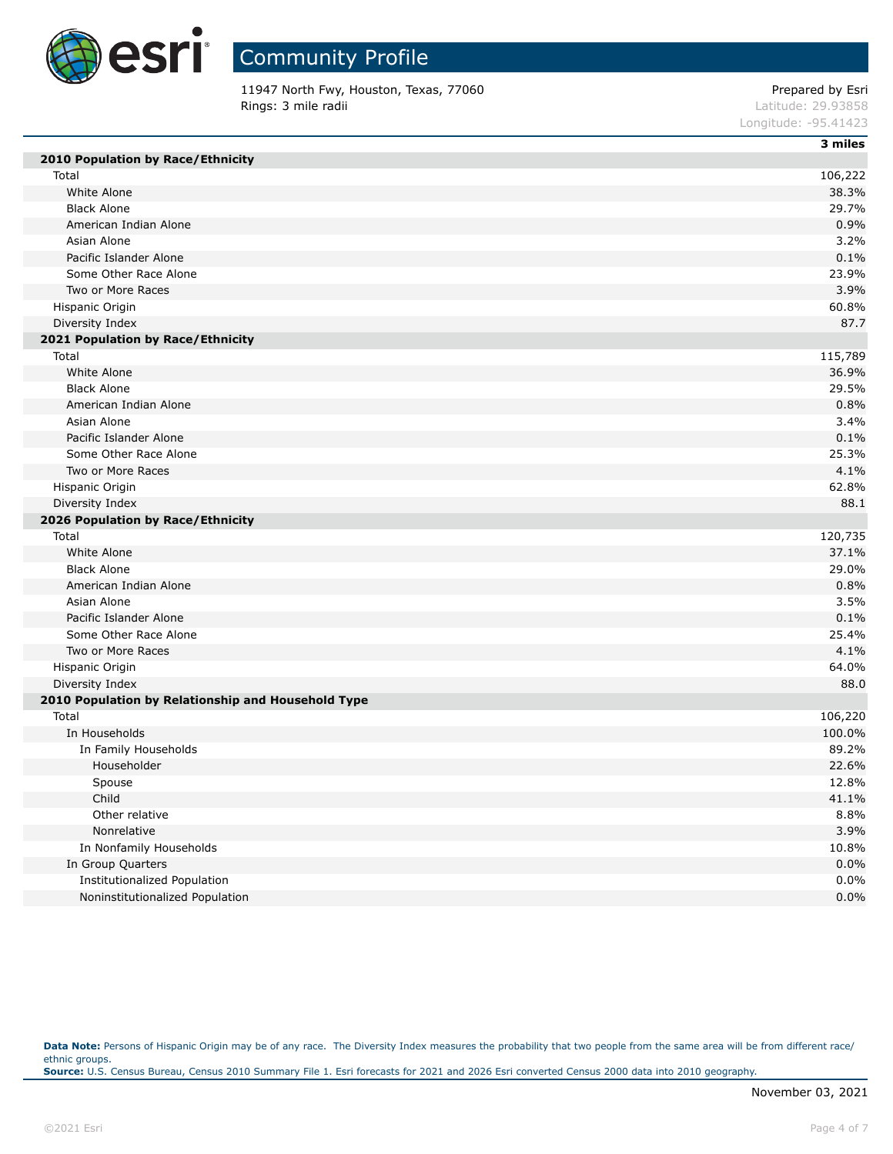

11947 North Fwy, Houston, Texas, 77060 Prepared by Esri Prepared by Esri Prepared by Esri Prepared by Esri Prepared by Esri Prepared by Esri Prepared by Esri Prepared by Esri Prepared by Esri Prepared by Esri Prepared by E Rings: 3 mile radii

|                      | 3 miles           |
|----------------------|-------------------|
| Longitude: -95.41423 |                   |
|                      | LAULUUT, ZJ.JJOJO |

| 2010 Population by Race/Ethnicity                  |         |
|----------------------------------------------------|---------|
| Total                                              | 106,222 |
| White Alone                                        | 38.3%   |
| <b>Black Alone</b>                                 | 29.7%   |
| American Indian Alone                              | 0.9%    |
| Asian Alone                                        | 3.2%    |
| Pacific Islander Alone                             | 0.1%    |
| Some Other Race Alone                              | 23.9%   |
| Two or More Races                                  | 3.9%    |
| Hispanic Origin                                    | 60.8%   |
| Diversity Index                                    | 87.7    |
| 2021 Population by Race/Ethnicity                  |         |
| Total                                              | 115,789 |
| White Alone                                        | 36.9%   |
| <b>Black Alone</b>                                 | 29.5%   |
| American Indian Alone                              | 0.8%    |
| Asian Alone                                        | 3.4%    |
| Pacific Islander Alone                             | 0.1%    |
| Some Other Race Alone                              | 25.3%   |
| Two or More Races                                  | 4.1%    |
| Hispanic Origin                                    | 62.8%   |
| Diversity Index                                    | 88.1    |
| 2026 Population by Race/Ethnicity                  |         |
| Total                                              | 120,735 |
| White Alone                                        | 37.1%   |
| <b>Black Alone</b>                                 | 29.0%   |
| American Indian Alone                              | 0.8%    |
| Asian Alone                                        | 3.5%    |
| Pacific Islander Alone                             | 0.1%    |
| Some Other Race Alone                              | 25.4%   |
| Two or More Races                                  | 4.1%    |
| Hispanic Origin                                    | 64.0%   |
| Diversity Index                                    | 88.0    |
| 2010 Population by Relationship and Household Type |         |
| Total                                              | 106,220 |
| In Households                                      | 100.0%  |
| In Family Households                               | 89.2%   |
| Householder                                        | 22.6%   |
| Spouse                                             | 12.8%   |
| Child                                              | 41.1%   |
| Other relative                                     | 8.8%    |
| Nonrelative                                        | 3.9%    |
| In Nonfamily Households                            | 10.8%   |
| In Group Quarters                                  | 0.0%    |
| Institutionalized Population                       | 0.0%    |
| Noninstitutionalized Population                    | 0.0%    |

Data Note: Persons of Hispanic Origin may be of any race. The Diversity Index measures the probability that two people from the same area will be from different race/ ethnic groups. **Source:** U.S. Census Bureau, Census 2010 Summary File 1. Esri forecasts for 2021 and 2026 Esri converted Census 2000 data into 2010 geography.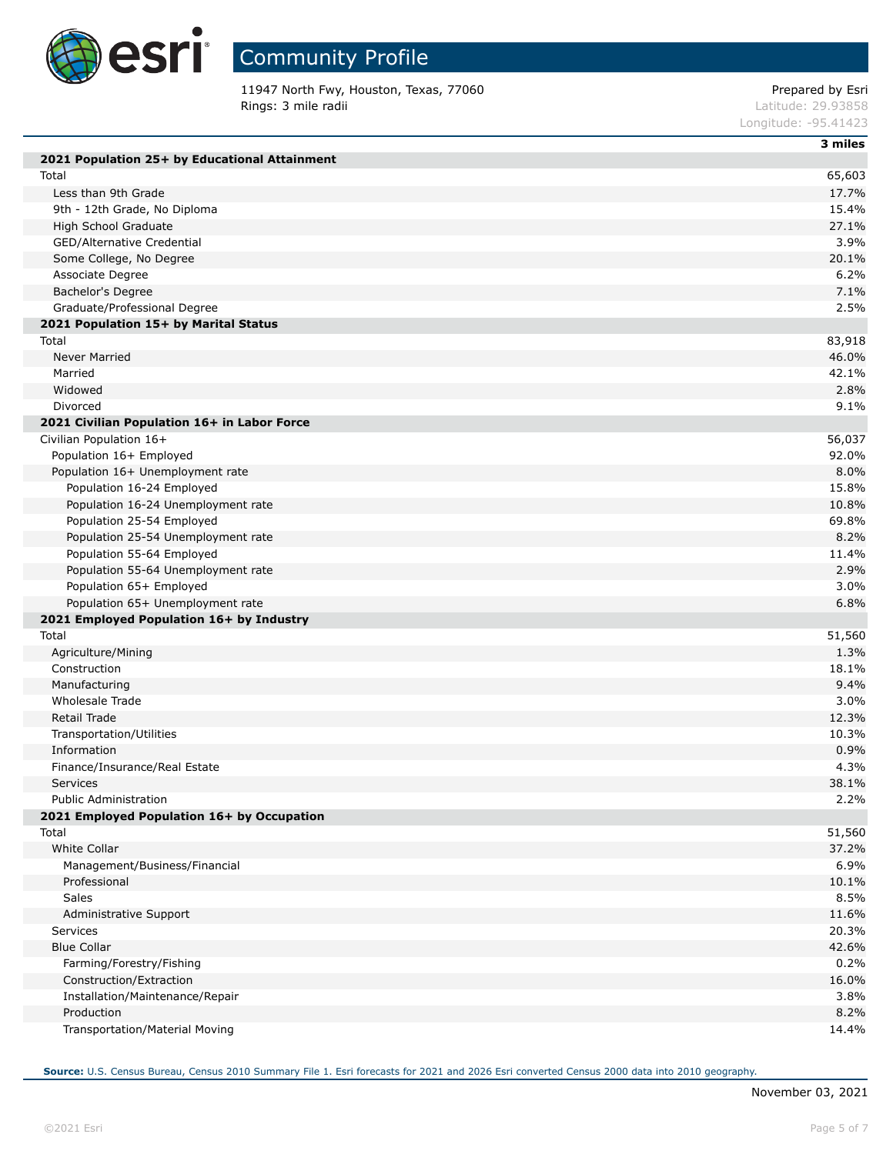

# Community Profile

11947 North Fwy, Houston, Texas, 77060 **Prepared by Esri** Prepared by Esri **Rings: 3 mile radii Contract Contract Contract Contract Contract Contract Contract Contract Contract Contract Contract Contract Contract Contract Contract Contract Contract Contract Contract Contract Contract Contract C** 

Longitude: -95.41423

| 2021 Population 25+ by Educational Attainment | 3 miles |
|-----------------------------------------------|---------|
| Total                                         | 65,603  |
| Less than 9th Grade                           | 17.7%   |
| 9th - 12th Grade, No Diploma                  | 15.4%   |
| High School Graduate                          | 27.1%   |
| GED/Alternative Credential                    | 3.9%    |
| Some College, No Degree                       | 20.1%   |
| Associate Degree                              | 6.2%    |
| Bachelor's Degree                             | 7.1%    |
| Graduate/Professional Degree                  | 2.5%    |
| 2021 Population 15+ by Marital Status         |         |
| Total                                         | 83,918  |
| <b>Never Married</b>                          | 46.0%   |
| Married                                       | 42.1%   |
| Widowed                                       | 2.8%    |
| Divorced                                      | 9.1%    |
| 2021 Civilian Population 16+ in Labor Force   |         |
| Civilian Population 16+                       | 56,037  |
| Population 16+ Employed                       | 92.0%   |
| Population 16+ Unemployment rate              | 8.0%    |
| Population 16-24 Employed                     | 15.8%   |
| Population 16-24 Unemployment rate            | 10.8%   |
| Population 25-54 Employed                     | 69.8%   |
| Population 25-54 Unemployment rate            | 8.2%    |
| Population 55-64 Employed                     | 11.4%   |
| Population 55-64 Unemployment rate            | 2.9%    |
| Population 65+ Employed                       | 3.0%    |
| Population 65+ Unemployment rate              | 6.8%    |
| 2021 Employed Population 16+ by Industry      |         |
| Total                                         | 51,560  |
| Agriculture/Mining                            | 1.3%    |
| Construction                                  | 18.1%   |
| Manufacturing                                 | 9.4%    |
| Wholesale Trade                               | 3.0%    |
| Retail Trade                                  | 12.3%   |
| Transportation/Utilities                      | 10.3%   |
| Information                                   | 0.9%    |
| Finance/Insurance/Real Estate                 | 4.3%    |
| Services                                      | 38.1%   |
| <b>Public Administration</b>                  | 2.2%    |
| 2021 Employed Population 16+ by Occupation    |         |
| Total                                         | 51,560  |
| White Collar                                  | 37.2%   |
| Management/Business/Financial                 | 6.9%    |
| Professional                                  | 10.1%   |
| Sales                                         | 8.5%    |
| Administrative Support                        | 11.6%   |
| Services                                      | 20.3%   |
| <b>Blue Collar</b>                            | 42.6%   |
| Farming/Forestry/Fishing                      | 0.2%    |
| Construction/Extraction                       | 16.0%   |
| Installation/Maintenance/Repair               | 3.8%    |
| Production                                    | 8.2%    |
| Transportation/Material Moving                | 14.4%   |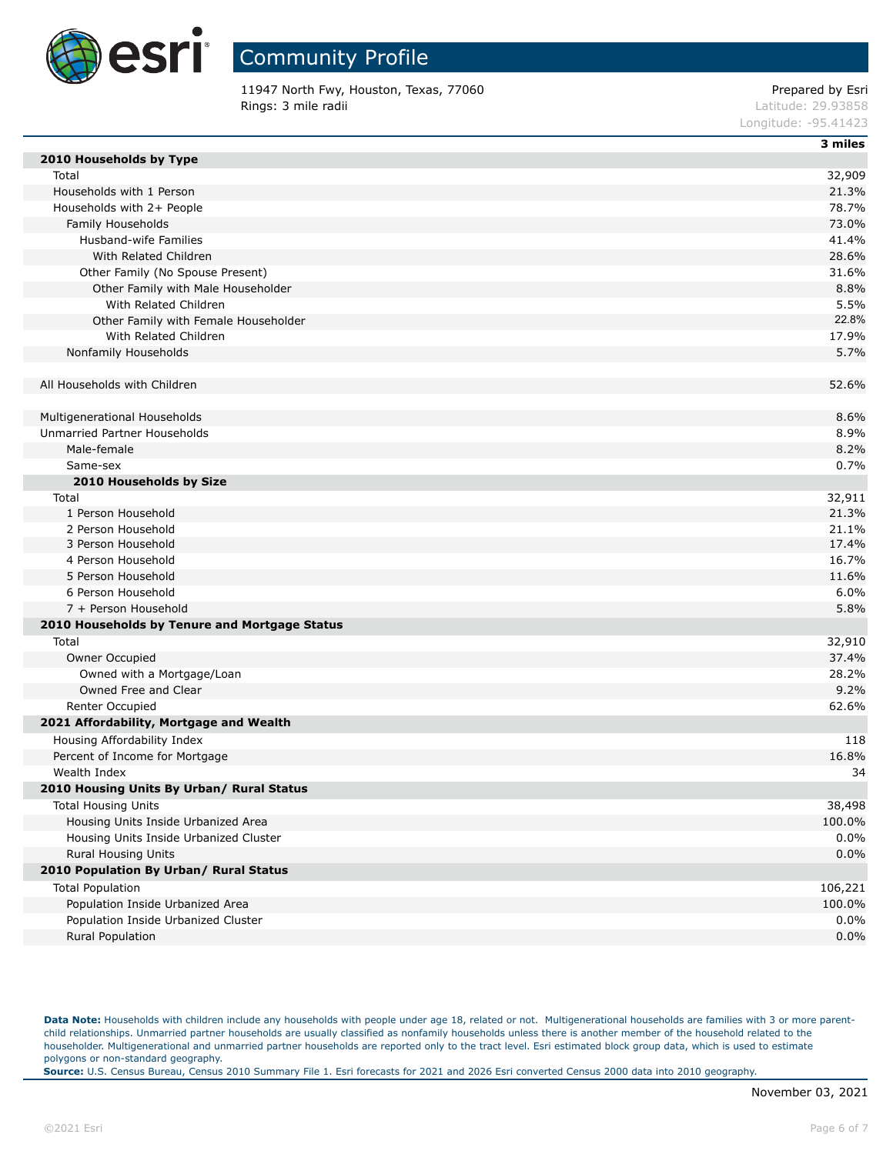

11947 North Fwy, Houston, Texas, 77060 example and the example of the Prepared by Esri **Rings: 3 mile radii Contract Contract Contract Contract Contract Contract Contract Contract Contract Contract Contract Contract Contract Contract Contract Contract Contract Contract Contract Contract Contract Contract C** 

Longitude: -95.41423

|  | <br>ш |  |
|--|-------|--|

| 2010 Households by Type                       |         |
|-----------------------------------------------|---------|
| Total                                         | 32,909  |
| Households with 1 Person                      | 21.3%   |
| Households with 2+ People                     | 78.7%   |
| Family Households                             | 73.0%   |
| Husband-wife Families                         | 41.4%   |
| With Related Children                         | 28.6%   |
| Other Family (No Spouse Present)              | 31.6%   |
| Other Family with Male Householder            | 8.8%    |
| With Related Children                         | 5.5%    |
| Other Family with Female Householder          | 22.8%   |
| With Related Children                         | 17.9%   |
| Nonfamily Households                          | 5.7%    |
|                                               |         |
| All Households with Children                  | 52.6%   |
|                                               |         |
| Multigenerational Households                  | 8.6%    |
| Unmarried Partner Households                  | 8.9%    |
| Male-female                                   | 8.2%    |
| Same-sex                                      | 0.7%    |
| 2010 Households by Size                       |         |
| Total                                         | 32,911  |
| 1 Person Household                            | 21.3%   |
| 2 Person Household                            | 21.1%   |
| 3 Person Household                            | 17.4%   |
| 4 Person Household                            | 16.7%   |
| 5 Person Household                            | 11.6%   |
| 6 Person Household                            | 6.0%    |
| 7 + Person Household                          | 5.8%    |
| 2010 Households by Tenure and Mortgage Status |         |
| Total                                         | 32,910  |
| Owner Occupied                                | 37.4%   |
| Owned with a Mortgage/Loan                    | 28.2%   |
| Owned Free and Clear                          | 9.2%    |
| Renter Occupied                               | 62.6%   |
| 2021 Affordability, Mortgage and Wealth       |         |
| Housing Affordability Index                   | 118     |
| Percent of Income for Mortgage                | 16.8%   |
| Wealth Index                                  | 34      |
| 2010 Housing Units By Urban/ Rural Status     |         |
| <b>Total Housing Units</b>                    | 38,498  |
| Housing Units Inside Urbanized Area           | 100.0%  |
| Housing Units Inside Urbanized Cluster        | 0.0%    |
| Rural Housing Units                           | 0.0%    |
| 2010 Population By Urban/ Rural Status        |         |
| <b>Total Population</b>                       | 106,221 |
| Population Inside Urbanized Area              | 100.0%  |
| Population Inside Urbanized Cluster           | 0.0%    |
| Rural Population                              | 0.0%    |

Data Note: Households with children include any households with people under age 18, related or not. Multigenerational households are families with 3 or more parentchild relationships. Unmarried partner households are usually classified as nonfamily households unless there is another member of the household related to the householder. Multigenerational and unmarried partner households are reported only to the tract level. Esri estimated block group data, which is used to estimate polygons or non-standard geography.